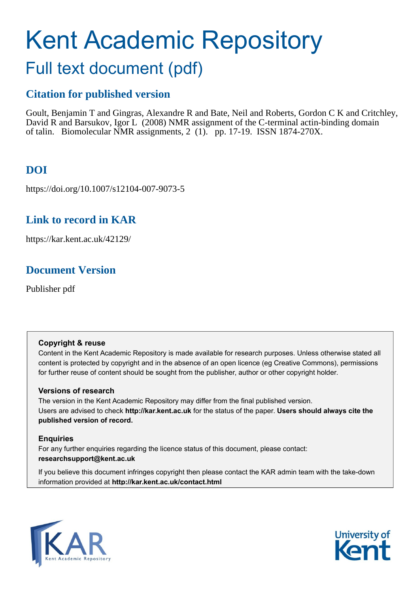# Kent Academic Repository

## Full text document (pdf)

## **Citation for published version**

Goult, Benjamin T and Gingras, Alexandre R and Bate, Neil and Roberts, Gordon C K and Critchley, David R and Barsukov, Igor L (2008) NMR assignment of the C-terminal actin-binding domain of talin. Biomolecular NMR assignments, 2 (1). pp. 17-19. ISSN 1874-270X.

## **DOI**

https://doi.org/10.1007/s12104-007-9073-5

## **Link to record in KAR**

https://kar.kent.ac.uk/42129/

## **Document Version**

Publisher pdf

#### **Copyright & reuse**

Content in the Kent Academic Repository is made available for research purposes. Unless otherwise stated all content is protected by copyright and in the absence of an open licence (eg Creative Commons), permissions for further reuse of content should be sought from the publisher, author or other copyright holder.

#### **Versions of research**

The version in the Kent Academic Repository may differ from the final published version. Users are advised to check **http://kar.kent.ac.uk** for the status of the paper. **Users should always cite the published version of record.**

#### **Enquiries**

For any further enquiries regarding the licence status of this document, please contact: **researchsupport@kent.ac.uk**

If you believe this document infringes copyright then please contact the KAR admin team with the take-down information provided at **http://kar.kent.ac.uk/contact.html**



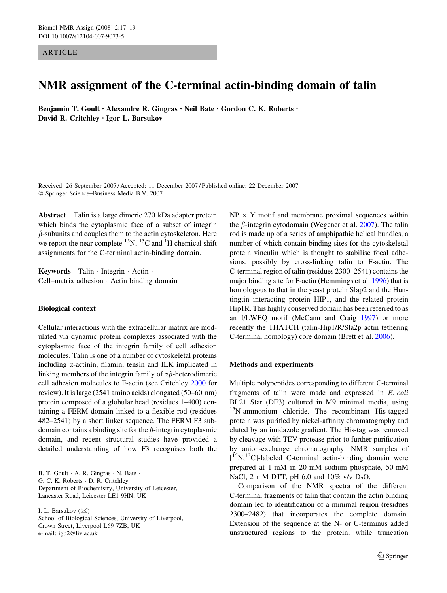**ARTICLE** 

### NMR assignment of the C-terminal actin-binding domain of talin

Benjamin T. Goult · Alexandre R. Gingras · Neil Bate · Gordon C. K. Roberts · David R. Critchley · Igor L. Barsukov

Received: 26 September 2007 / Accepted: 11 December 2007 / Published online: 22 December 2007 Springer Science+Business Media B.V. 2007

Abstract Talin is a large dimeric 270 kDa adapter protein which binds the cytoplasmic face of a subset of integrin  $\beta$ -subunits and couples them to the actin cytoskeleton. Here we report the near complete  ${}^{15}N$ ,  ${}^{13}C$  and  ${}^{1}H$  chemical shift assignments for the C-terminal actin-binding domain.

Keywords Talin · Integrin · Actin · Cell–matrix adhesion  $\cdot$  Actin binding domain

#### Biological context

Cellular interactions with the extracellular matrix are modulated via dynamic protein complexes associated with the cytoplasmic face of the integrin family of cell adhesion molecules. Talin is one of a number of cytoskeletal proteins including  $\alpha$ -actinin, filamin, tensin and ILK implicated in linking members of the integrin family of  $\alpha\beta$ -heterodimeric cell adhesion molecules to F-actin (see Critchley 2000 for review). It is large (2541 amino acids) elongated (50–60 nm) protein composed of a globular head (residues 1–400) containing a FERM domain linked to a flexible rod (residues 482–2541) by a short linker sequence. The FERM F3 subdomain contains a binding site for the  $\beta$ -integrin cytoplasmic domain, and recent structural studies have provided a detailed understanding of how F3 recognises both the

B. T. Goult  $\cdot$  A. R. Gingras  $\cdot$  N. Bate  $\cdot$ G. C. K. Roberts · D. R. Critchley Department of Biochemistry, University of Leicester, Lancaster Road, Leicester LE1 9HN, UK

I. L. Barsukov  $(\boxtimes)$ School of Biological Sciences, University of Liverpool, Crown Street, Liverpool L69 7ZB, UK e-mail: igb2@liv.ac.uk

 $NP \times Y$  motif and membrane proximal sequences within the  $\beta$ -integrin cytodomain (Wegener et al. 2007). The talin rod is made up of a series of amphipathic helical bundles, a number of which contain binding sites for the cytoskeletal protein vinculin which is thought to stabilise focal adhesions, possibly by cross-linking talin to F-actin. The C-terminal region of talin (residues 2300–2541) contains the major binding site for F-actin (Hemmings et al. 1996) that is homologous to that in the yeast protein Slap2 and the Huntingtin interacting protein HIP1, and the related protein Hip1R. This highly conserved domain has been referred to as an I/LWEQ motif (McCann and Craig 1997) or more recently the THATCH (talin-Hip1/R/Sla2p actin tethering C-terminal homology) core domain (Brett et al. 2006).

#### Methods and experiments

Multiple polypeptides corresponding to different C-terminal fragments of talin were made and expressed in E. coli BL21 Star (DE3) cultured in M9 minimal media, using <sup>15</sup>N-ammonium chloride. The recombinant His-tagged protein was purified by nickel-affinity chromatography and eluted by an imidazole gradient. The His-tag was removed by cleavage with TEV protease prior to further purification by anion-exchange chromatography. NMR samples of [<sup>15</sup>N,<sup>13</sup>C]-labeled C-terminal actin-binding domain were prepared at 1 mM in 20 mM sodium phosphate, 50 mM NaCl, 2 mM DTT, pH 6.0 and 10% v/v  $D_2O$ .

Comparison of the NMR spectra of the different C-terminal fragments of talin that contain the actin binding domain led to identification of a minimal region (residues 2300–2482) that incorporates the complete domain. Extension of the sequence at the N- or C-terminus added unstructured regions to the protein, while truncation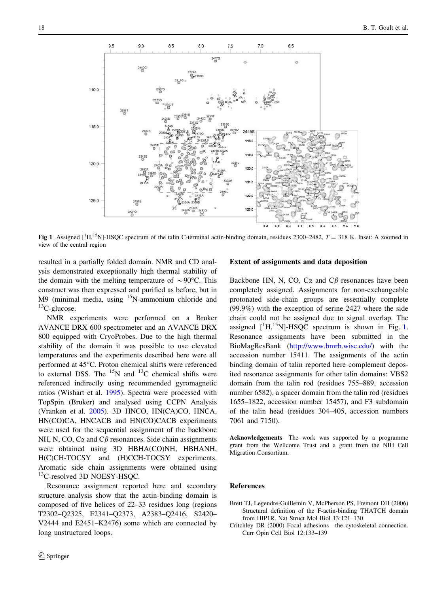

Fig 1 Assigned  $\left[^{1}H, ^{15}N\right]$ -HSQC spectrum of the talin C-terminal actin-binding domain, residues 2300–2482,  $T = 318$  K. Inset: A zoomed in view of the central region

resulted in a partially folded domain. NMR and CD analysis demonstrated exceptionally high thermal stability of the domain with the melting temperature of  $\sim 90^{\circ}$ C. This construct was then expressed and purified as before, but in  $M9$  (minimal media, using  $15N$ -ammonium chloride and  ${}^{13}C$ -glucose.

NMR experiments were performed on a Bruker AVANCE DRX 600 spectrometer and an AVANCE DRX 800 equipped with CryoProbes. Due to the high thermal stability of the domain it was possible to use elevated temperatures and the experiments described here were all performed at 45°C. Proton chemical shifts were referenced to external DSS. The  $^{15}N$  and  $^{13}C$  chemical shifts were referenced indirectly using recommended gyromagnetic ratios (Wishart et al. 1995). Spectra were processed with TopSpin (Bruker) and analysed using CCPN Analysis (Vranken et al. 2005). 3D HNCO, HN(CA)CO, HNCA, HN(CO)CA, HNCACB and HN(CO)CACB experiments were used for the sequential assignment of the backbone NH, N, CO,  $C\alpha$  and  $C\beta$  resonances. Side chain assignments were obtained using 3D HBHA(CO)NH, HBHANH, H(C)CH-TOCSY and (H)CCH-TOCSY experiments. Aromatic side chain assignments were obtained using 13C-resolved 3D NOESY-HSQC.

Resonance assignment reported here and secondary structure analysis show that the actin-binding domain is composed of five helices of 22–33 residues long (regions T2302–Q2325, F2341–Q2373, A2383–Q2416, S2420– V2444 and E2451–K2476) some which are connected by long unstructured loops.

#### Extent of assignments and data deposition

Backbone HN, N, CO,  $C\alpha$  and  $C\beta$  resonances have been completely assigned. Assignments for non-exchangeable protonated side-chain groups are essentially complete (99.9%) with the exception of serine 2427 where the side chain could not be assigned due to signal overlap. The assigned  $[{}^1H, {}^{15}N]$ -HSQC spectrum is shown in Fig. 1. Resonance assignments have been submitted in the BioMagResBank ([http://www.bmrb.wisc.edu/\)](http://www.bmrb.wisc.edu/) with the accession number 15411. The assignments of the actin binding domain of talin reported here complement deposited resonance assignments for other talin domains: VBS2 domain from the talin rod (residues 755–889, accession number 6582), a spacer domain from the talin rod (residues 1655–1822, accession number 15457), and F3 subdomain of the talin head (residues 304–405, accession numbers 7061 and 7150).

Acknowledgements The work was supported by a programme grant from the Wellcome Trust and a grant from the NIH Cell Migration Consortium.

#### References

- Brett TJ, Legendre-Guillemin V, McPherson PS, Fremont DH (2006) Structural definition of the F-actin-binding THATCH domain from HIP1R. Nat Struct Mol Biol 13:121–130
- Critchley DR (2000) Focal adhesions—the cytoskeletal connection. Curr Opin Cell Biol 12:133–139